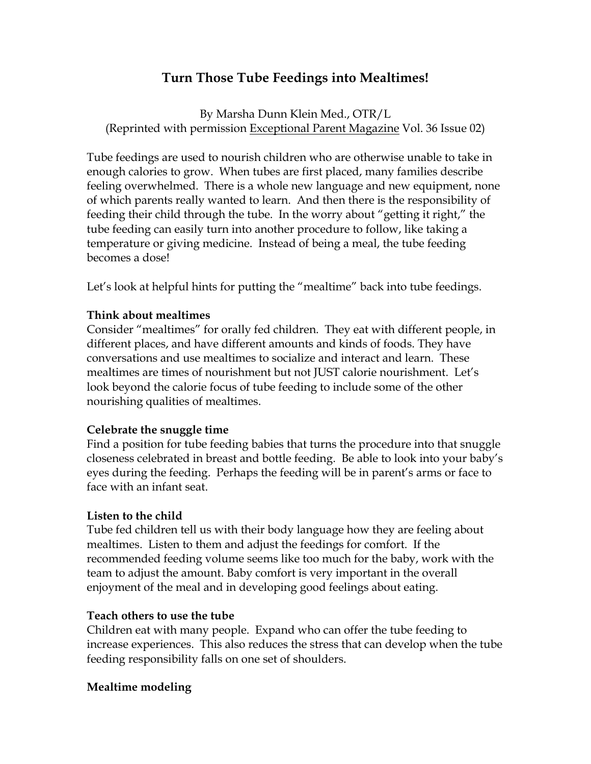# **Turn Those Tube Feedings into Mealtimes!**

By Marsha Dunn Klein Med., OTR/L (Reprinted with permission Exceptional Parent Magazine Vol. 36 Issue 02)

Tube feedings are used to nourish children who are otherwise unable to take in enough calories to grow. When tubes are first placed, many families describe feeling overwhelmed. There is a whole new language and new equipment, none of which parents really wanted to learn. And then there is the responsibility of feeding their child through the tube. In the worry about "getting it right," the tube feeding can easily turn into another procedure to follow, like taking a temperature or giving medicine. Instead of being a meal, the tube feeding becomes a dose!

Let's look at helpful hints for putting the "mealtime" back into tube feedings.

#### **Think about mealtimes**

Consider "mealtimes" for orally fed children. They eat with different people, in different places, and have different amounts and kinds of foods. They have conversations and use mealtimes to socialize and interact and learn. These mealtimes are times of nourishment but not JUST calorie nourishment. Let's look beyond the calorie focus of tube feeding to include some of the other nourishing qualities of mealtimes.

### **Celebrate the snuggle time**

Find a position for tube feeding babies that turns the procedure into that snuggle closeness celebrated in breast and bottle feeding. Be able to look into your baby's eyes during the feeding. Perhaps the feeding will be in parent's arms or face to face with an infant seat.

### **Listen to the child**

Tube fed children tell us with their body language how they are feeling about mealtimes. Listen to them and adjust the feedings for comfort. If the recommended feeding volume seems like too much for the baby, work with the team to adjust the amount. Baby comfort is very important in the overall enjoyment of the meal and in developing good feelings about eating.

#### **Teach others to use the tube**

Children eat with many people. Expand who can offer the tube feeding to increase experiences. This also reduces the stress that can develop when the tube feeding responsibility falls on one set of shoulders.

#### **Mealtime modeling**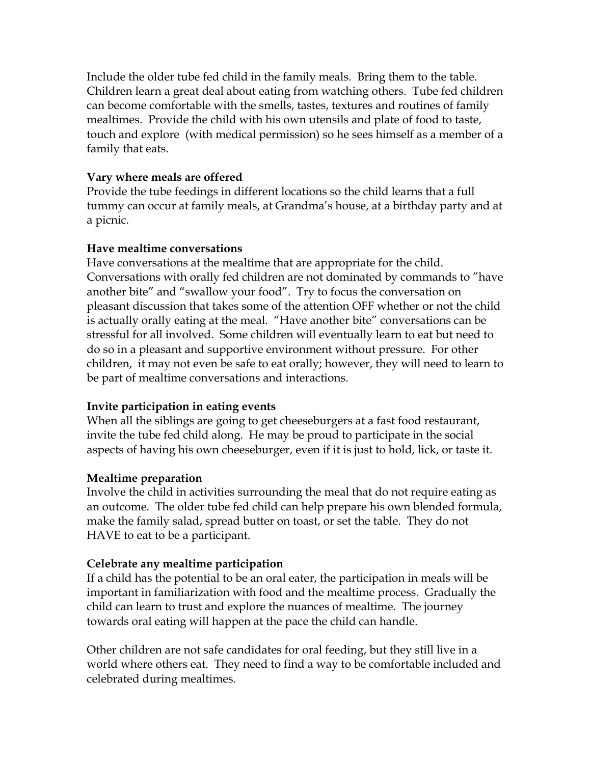Include the older tube fed child in the family meals. Bring them to the table. Children learn a great deal about eating from watching others. Tube fed children can become comfortable with the smells, tastes, textures and routines of family mealtimes. Provide the child with his own utensils and plate of food to taste, touch and explore (with medical permission) so he sees himself as a member of a family that eats.

## **Vary where meals are offered**

Provide the tube feedings in different locations so the child learns that a full tummy can occur at family meals, at Grandma's house, at a birthday party and at a picnic.

## **Have mealtime conversations**

Have conversations at the mealtime that are appropriate for the child. Conversations with orally fed children are not dominated by commands to "have another bite" and "swallow your food". Try to focus the conversation on pleasant discussion that takes some of the attention OFF whether or not the child is actually orally eating at the meal. "Have another bite" conversations can be stressful for all involved. Some children will eventually learn to eat but need to do so in a pleasant and supportive environment without pressure. For other children, it may not even be safe to eat orally; however, they will need to learn to be part of mealtime conversations and interactions.

# **Invite participation in eating events**

When all the siblings are going to get cheeseburgers at a fast food restaurant, invite the tube fed child along. He may be proud to participate in the social aspects of having his own cheeseburger, even if it is just to hold, lick, or taste it.

### **Mealtime preparation**

Involve the child in activities surrounding the meal that do not require eating as an outcome. The older tube fed child can help prepare his own blended formula, make the family salad, spread butter on toast, or set the table. They do not HAVE to eat to be a participant.

# **Celebrate any mealtime participation**

If a child has the potential to be an oral eater, the participation in meals will be important in familiarization with food and the mealtime process. Gradually the child can learn to trust and explore the nuances of mealtime. The journey towards oral eating will happen at the pace the child can handle.

Other children are not safe candidates for oral feeding, but they still live in a world where others eat. They need to find a way to be comfortable included and celebrated during mealtimes.